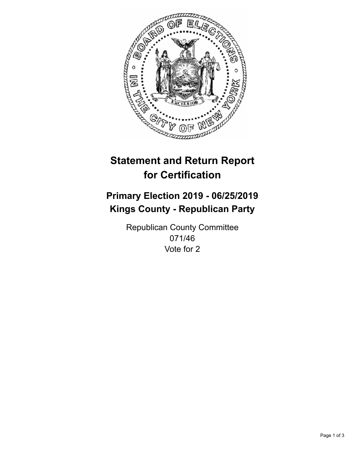

## **Statement and Return Report for Certification**

## **Primary Election 2019 - 06/25/2019 Kings County - Republican Party**

Republican County Committee 071/46 Vote for 2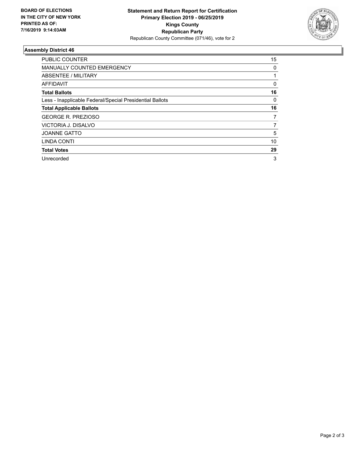

## **Assembly District 46**

| <b>PUBLIC COUNTER</b>                                    | 15       |
|----------------------------------------------------------|----------|
| <b>MANUALLY COUNTED EMERGENCY</b>                        | 0        |
| ABSENTEE / MILITARY                                      |          |
| AFFIDAVIT                                                | $\Omega$ |
| <b>Total Ballots</b>                                     | 16       |
| Less - Inapplicable Federal/Special Presidential Ballots | 0        |
| <b>Total Applicable Ballots</b>                          | 16       |
| <b>GEORGE R. PREZIOSO</b>                                | 7        |
| VICTORIA J. DISALVO                                      | 7        |
| <b>JOANNE GATTO</b>                                      | 5        |
| LINDA CONTI                                              | 10       |
| <b>Total Votes</b>                                       | 29       |
| Unrecorded                                               | 3        |